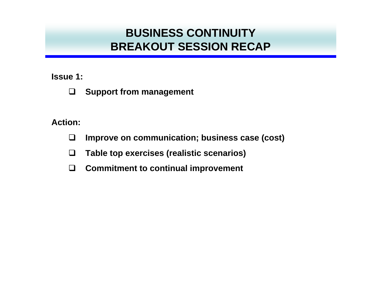#### **Issue 1:**

 $\Box$ **Support from management**

- $\Box$ **Improve on communication; business case (cost)**
- $\Box$ **Table top exercises (realistic scenarios)**
- $\Box$ **Commitment to continual improvement**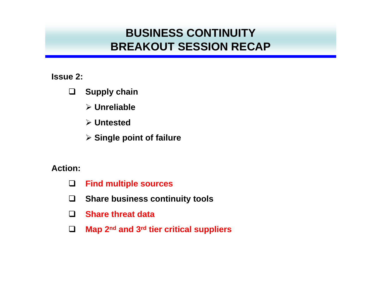#### **Issue 2:**

- $\Box$  **Supply chain**
	- ¾ **Unreliable**
	- ¾ **Untested**
	- ¾ **Single point of failure**

- $\Box$ **Find multiple sources**
- $\Box$ **Share business continuity tools**
- $\Box$ **Share threat data**
- $\Box$ **Map 2nd and 3rd tier critical suppliers**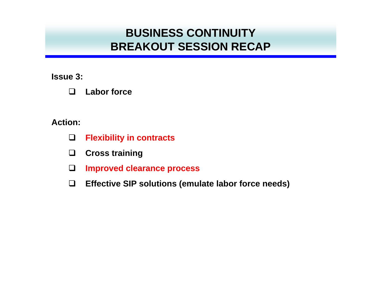**Issue 3:**

| $\Box$<br><b>Labor force</b> |  |
|------------------------------|--|
|------------------------------|--|

- $\Box$ **Flexibility in contracts**
- $\Box$ **Cross training**
- $\Box$ **Improved clearance process**
- $\Box$ **Effective SIP solutions (emulate labor force needs)**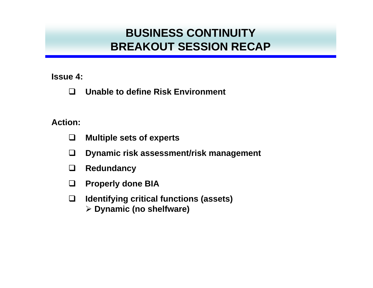**Issue 4:**

 $\Box$ **Unable to define Risk Environment** 

- $\Box$ **Multiple sets of experts**
- $\Box$ **Dynamic risk assessment/risk management**
- $\Box$ **Redundancy**
- $\Box$ **Properly done BIA**
- $\Box$  **Identifying critical functions (assets)** ¾ **Dynamic (no shelfware)**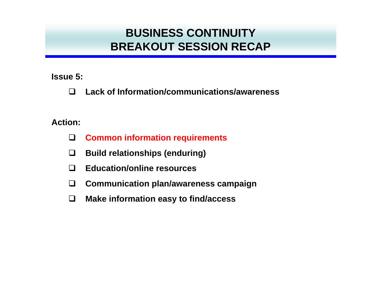**Issue 5:**

 $\Box$ **Lack of Information/communications/awareness** 

- $\Box$ **Common information requirements**
- $\Box$ **Build relationships (enduring)**
- $\Box$ **Education/online resources**
- $\Box$ **Communication plan/awareness campaign**
- $\Box$ **Make information easy to find/access**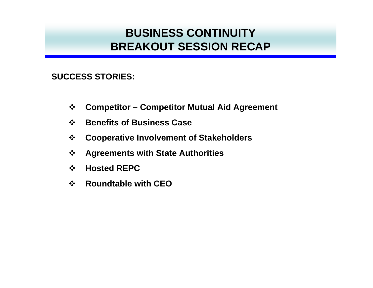**SUCCESS STORIES:**

- $\frac{1}{2}$ **Competitor – Competitor Mutual Aid Agreement**
- $\frac{1}{2}$ **Benefits of Business Case**
- $\frac{1}{2}$ **Cooperative Involvement of Stakeholders**
- $\frac{1}{2}$ **Agreements with State Authorities**
- $\frac{1}{2}$ **Hosted REPC**
- $\frac{1}{2}$ **Roundtable with CEO**